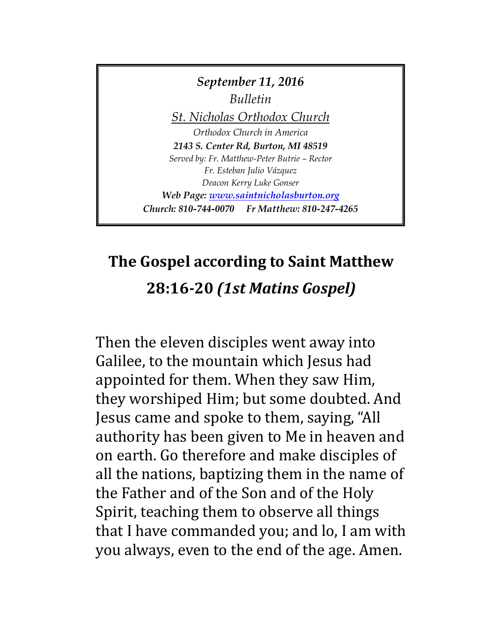

# **The Gospel according to Saint Matthew 28:16-20** *(1st Matins Gospel)*

Then the eleven disciples went away into Galilee, to the mountain which Jesus had appointed for them. When they saw Him, they worshiped Him; but some doubted. And Jesus came and spoke to them, saying, "All authority has been given to Me in heaven and on earth. Go therefore and make disciples of all the nations, baptizing them in the name of the Father and of the Son and of the Holy Spirit, teaching them to observe all things that I have commanded you; and lo, I am with you always, even to the end of the age. Amen.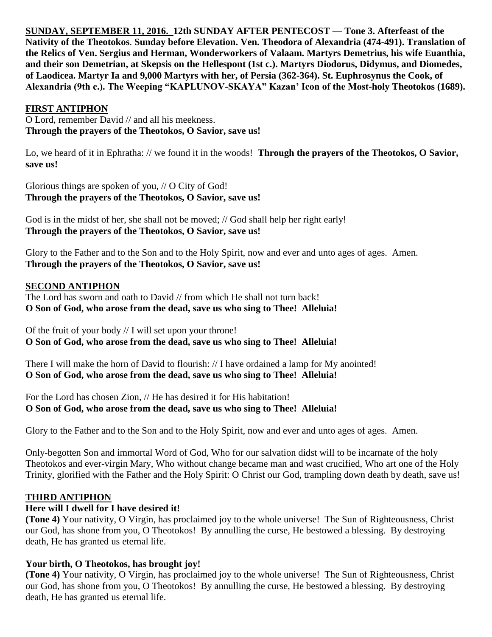**SUNDAY, SEPTEMBER 11, 2016. 12th SUNDAY AFTER PENTECOST** — **Tone 3. Afterfeast of the Nativity of the Theotokos**. **Sunday before Elevation. Ven. Theodora of Alexandria (474-491). Translation of the Relics of Ven. Sergius and Herman, Wonderworkers of Valaam. Martyrs Demetrius, his wife Euanthia, and their son Demetrian, at Skepsis on the Hellespont (1st c.). Martyrs Diodorus, Didymus, and Diomedes, of Laodicea. Martyr Ia and 9,000 Martyrs with her, of Persia (362-364). St. Euphrosynus the Cook, of Alexandria (9th c.). The Weeping "KAPLUNOV-SKAYA" Kazan' Icon of the Most-holy Theotokos (1689).**

#### **FIRST ANTIPHON**

O Lord, remember David // and all his meekness. **Through the prayers of the Theotokos, O Savior, save us!**

Lo, we heard of it in Ephratha: // we found it in the woods! **Through the prayers of the Theotokos, O Savior, save us!**

Glorious things are spoken of you, // O City of God! **Through the prayers of the Theotokos, O Savior, save us!**

God is in the midst of her, she shall not be moved; // God shall help her right early! **Through the prayers of the Theotokos, O Savior, save us!**

Glory to the Father and to the Son and to the Holy Spirit, now and ever and unto ages of ages. Amen. **Through the prayers of the Theotokos, O Savior, save us!**

#### **SECOND ANTIPHON**

The Lord has sworn and oath to David // from which He shall not turn back! **O Son of God, who arose from the dead, save us who sing to Thee! Alleluia!**

Of the fruit of your body // I will set upon your throne! **O Son of God, who arose from the dead, save us who sing to Thee! Alleluia!**

There I will make the horn of David to flourish: // I have ordained a lamp for My anointed! **O Son of God, who arose from the dead, save us who sing to Thee! Alleluia!**

For the Lord has chosen Zion, // He has desired it for His habitation! **O Son of God, who arose from the dead, save us who sing to Thee! Alleluia!**

Glory to the Father and to the Son and to the Holy Spirit, now and ever and unto ages of ages. Amen.

Only-begotten Son and immortal Word of God, Who for our salvation didst will to be incarnate of the holy Theotokos and ever-virgin Mary, Who without change became man and wast crucified, Who art one of the Holy Trinity, glorified with the Father and the Holy Spirit: O Christ our God, trampling down death by death, save us!

#### **THIRD ANTIPHON**

## **Here will I dwell for I have desired it!**

**(Tone 4)** Your nativity, O Virgin, has proclaimed joy to the whole universe! The Sun of Righteousness, Christ our God, has shone from you, O Theotokos! By annulling the curse, He bestowed a blessing. By destroying death, He has granted us eternal life.

## **Your birth, O Theotokos, has brought joy!**

**(Tone 4)** Your nativity, O Virgin, has proclaimed joy to the whole universe! The Sun of Righteousness, Christ our God, has shone from you, O Theotokos! By annulling the curse, He bestowed a blessing. By destroying death, He has granted us eternal life.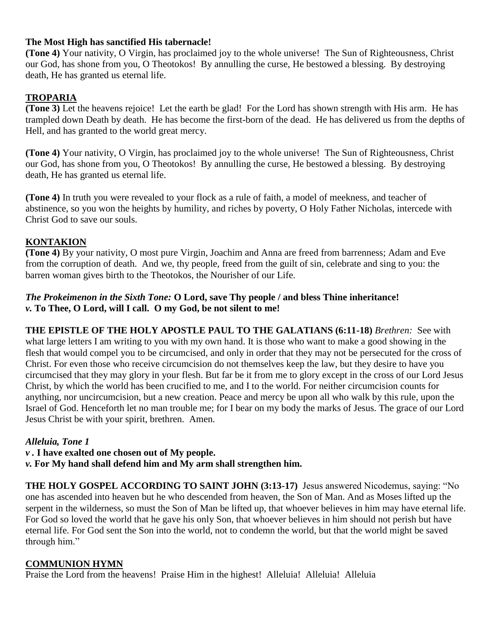#### **The Most High has sanctified His tabernacle!**

**(Tone 4)** Your nativity, O Virgin, has proclaimed joy to the whole universe! The Sun of Righteousness, Christ our God, has shone from you, O Theotokos! By annulling the curse, He bestowed a blessing. By destroying death, He has granted us eternal life.

## **TROPARIA**

**(Tone 3)** Let the heavens rejoice! Let the earth be glad! For the Lord has shown strength with His arm. He has trampled down Death by death. He has become the first-born of the dead. He has delivered us from the depths of Hell, and has granted to the world great mercy.

**(Tone 4)** Your nativity, O Virgin, has proclaimed joy to the whole universe! The Sun of Righteousness, Christ our God, has shone from you, O Theotokos! By annulling the curse, He bestowed a blessing. By destroying death, He has granted us eternal life.

**(Tone 4)** In truth you were revealed to your flock as a rule of faith, a model of meekness, and teacher of abstinence, so you won the heights by humility, and riches by poverty, O Holy Father Nicholas, intercede with Christ God to save our souls.

## **KONTAKION**

**(Tone 4)** By your nativity, O most pure Virgin, Joachim and Anna are freed from barrenness; Adam and Eve from the corruption of death. And we, thy people, freed from the guilt of sin, celebrate and sing to you: the barren woman gives birth to the Theotokos, the Nourisher of our Life.

### *The Prokeimenon in the Sixth Tone:* **O Lord, save Thy people / and bless Thine inheritance!** *v.* **To Thee, O Lord, will I call. O my God, be not silent to me!**

**THE EPISTLE OF THE HOLY APOSTLE PAUL TO THE GALATIANS (6:11-18)** *Brethren:* See with what large letters I am writing to you with my own hand. It is those who want to make a good showing in the flesh that would compel you to be circumcised, and only in order that they may not be persecuted for the cross of Christ. For even those who receive circumcision do not themselves keep the law, but they desire to have you circumcised that they may glory in your flesh. But far be it from me to glory except in the cross of our Lord Jesus Christ, by which the world has been crucified to me, and I to the world. For neither circumcision counts for anything, nor uncircumcision, but a new creation. Peace and mercy be upon all who walk by this rule, upon the Israel of God. Henceforth let no man trouble me; for I bear on my body the marks of Jesus. The grace of our Lord Jesus Christ be with your spirit, brethren. Amen.

## *Alleluia, Tone 1*

- *v .* **I have exalted one chosen out of My people.**
- *v.* **For My hand shall defend him and My arm shall strengthen him.**

**THE HOLY GOSPEL ACCORDING TO SAINT JOHN (3:13-17)** Jesus answered Nicodemus, saying: "No one has ascended into heaven but he who descended from heaven, the Son of Man. And as Moses lifted up the serpent in the wilderness, so must the Son of Man be lifted up, that whoever believes in him may have eternal life. For God so loved the world that he gave his only Son, that whoever believes in him should not perish but have eternal life. For God sent the Son into the world, not to condemn the world, but that the world might be saved through him."

## **COMMUNION HYMN**

Praise the Lord from the heavens! Praise Him in the highest! Alleluia! Alleluia! Alleluia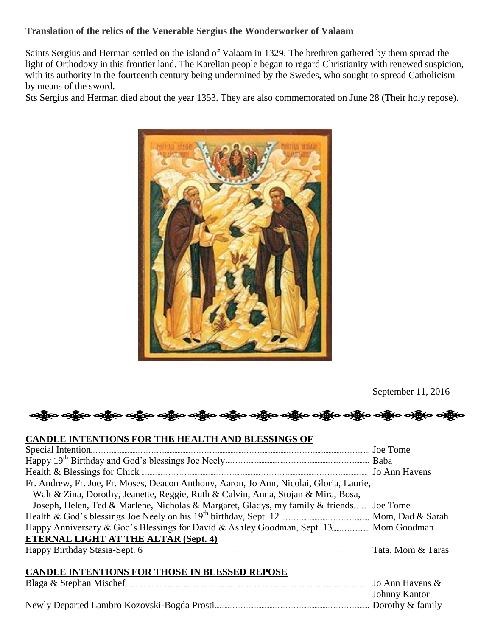#### **Translation of the relics of the Venerable Sergius the Wonderworker of Valaam**

Saints Sergius and Herman settled on the island of Valaam in 1329. The brethren gathered by them spread the light of Orthodoxy in this frontier land. The Karelian people began to regard Christianity with renewed suspicion, with its authority in the fourteenth century being undermined by the Swedes, who sought to spread Catholicism by means of the sword.

Sts Sergius and Herman died about the year 1353. They are also commemorated on June 28 (Their holy repose).



September 11, 2016

## એક્ષેત્ર એક્ષેત્ર એક્ષેત્ર એક્ષેત્ર એક્ષેત્ર એક્ષેત્ર એક્ષેત્ર એક્ષેત્ર એક્ષેત્ર એક્ષેત્ર એક્ષેત્ર એક્ષેત્ર

#### **CANDLE INTENTIONS FOR THE HEALTH AND BLESSINGS OF**

| Fr. Andrew, Fr. Joe, Fr. Moses, Deacon Anthony, Aaron, Jo Ann, Nicolai, Gloria, Laurie, |  |
|-----------------------------------------------------------------------------------------|--|
| Walt & Zina, Dorothy, Jeanette, Reggie, Ruth & Calvin, Anna, Stojan & Mira, Bosa,       |  |
| Joseph, Helen, Ted & Marlene, Nicholas & Margaret, Gladys, my family & friends Joe Tome |  |
|                                                                                         |  |
|                                                                                         |  |
| <b>ETERNAL LIGHT AT THE ALTAR (Sept. 4)</b>                                             |  |
|                                                                                         |  |
|                                                                                         |  |
| CUIDI E DEBIENTONO EOD EHOOF IV DI ECOED DEBOCE                                         |  |

#### **CANDLE INTENTIONS FOR THOSE IN BLESSED REPOSE**

| . Jo Ann Havens $\&$ |
|----------------------|
| Johnny Kantor        |
| Dorothy $&$ family   |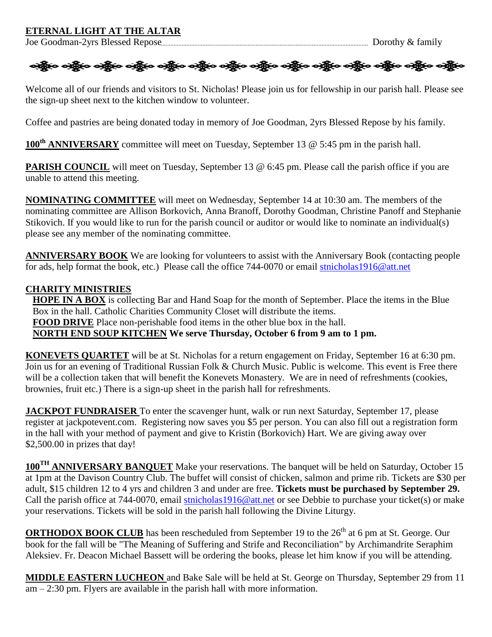#### **ETERNAL LIGHT AT THE ALTAR**

Joe Goodman-2yrs Blessed Repose Dorothy & family



Welcome all of our friends and visitors to St. Nicholas! Please join us for fellowship in our parish hall. Please see the sign-up sheet next to the kitchen window to volunteer.

Coffee and pastries are being donated today in memory of Joe Goodman, 2yrs Blessed Repose by his family.

**100th ANNIVERSARY** committee will meet on Tuesday, September 13 @ 5:45 pm in the parish hall.

**PARISH COUNCIL** will meet on Tuesday, September 13 @ 6:45 pm. Please call the parish office if you are unable to attend this meeting.

**NOMINATING COMMITTEE** will meet on Wednesday, September 14 at 10:30 am. The members of the nominating committee are Allison Borkovich, Anna Branoff, Dorothy Goodman, Christine Panoff and Stephanie Stikovich. If you would like to run for the parish council or auditor or would like to nominate an individual(s) please see any member of the nominating committee.

**ANNIVERSARY BOOK** We are looking for volunteers to assist with the Anniversary Book (contacting people for ads, help format the book, etc.) Please call the office 744-0070 or email [stnicholas1916@att.net](mailto:stnicholas1916@att.net)

#### **CHARITY MINISTRIES**

**HOPE IN A BOX** is collecting Bar and Hand Soap for the month of September. Place the items in the Blue Box in the hall. Catholic Charities Community Closet will distribute the items. **FOOD DRIVE** Place non-perishable food items in the other blue box in the hall. **NORTH END SOUP KITCHEN We serve Thursday, October 6 from 9 am to 1 pm.**

**KONEVETS QUARTET** will be at St. Nicholas for a return engagement on Friday, September 16 at 6:30 pm. Join us for an evening of Traditional Russian Folk & Church Music. Public is welcome. This event is Free there will be a collection taken that will benefit the Konevets Monastery. We are in need of refreshments (cookies, brownies, fruit etc.) There is a sign-up sheet in the parish hall for refreshments.

**JACKPOT FUNDRAISER** To enter the scavenger hunt, walk or run next Saturday, September 17, please register at jackpotevent.com. Registering now saves you \$5 per person. You can also fill out a registration form in the hall with your method of payment and give to Kristin (Borkovich) Hart. We are giving away over \$2,500.00 in prizes that day!

**100TH ANNIVERSARY BANQUET** Make your reservations. The banquet will be held on Saturday, October 15 at 1pm at the Davison Country Club. The buffet will consist of chicken, salmon and prime rib. Tickets are \$30 per adult, \$15 children 12 to 4 yrs and children 3 and under are free. **Tickets must be purchased by September 29.** Call the parish office at 744-0070, email [stnicholas1916@att.net](mailto:stnicholas1916@att.net) or see Debbie to purchase your ticket(s) or make your reservations. Tickets will be sold in the parish hall following the Divine Liturgy.

**ORTHODOX BOOK CLUB** has been rescheduled from September 19 to the 26<sup>th</sup> at 6 pm at St. George. Our book for the fall will be "The Meaning of Suffering and Strife and Reconciliation" by Archimandrite Seraphim Aleksiev. Fr. Deacon Michael Bassett will be ordering the books, please let him know if you will be attending.

**MIDDLE EASTERN LUCHEON** and Bake Sale will be held at St. George on Thursday, September 29 from 11 am – 2:30 pm. Flyers are available in the parish hall with more information.